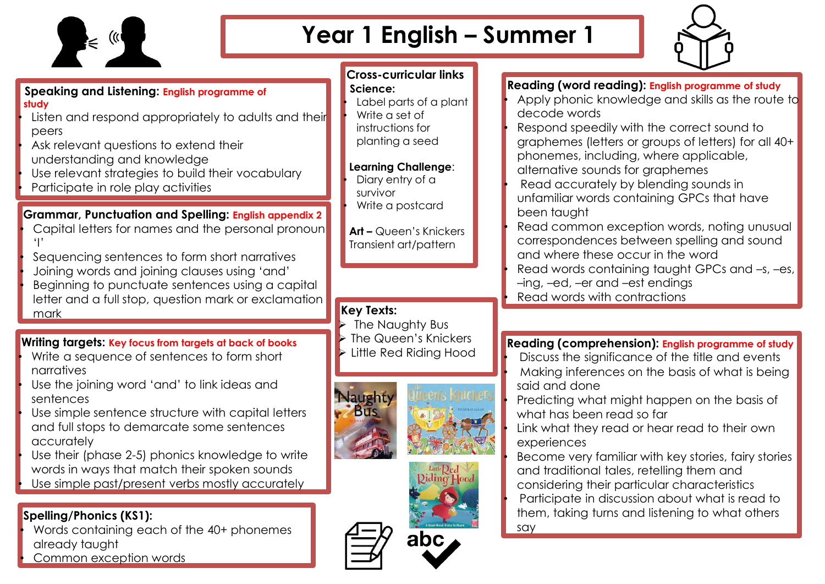

# **Year 1 English – Summer 1**



#### **Speaking and Listening: English programme of study**

- Listen and respond appropriately to adults and their peers
- Ask relevant questions to extend their
- understanding and knowledge
- Use relevant strategies to build their vocabulary • Participate in role play activities

## **Grammar, Punctuation and Spelling: English appendix 2**

Capital letters for names and the personal pronoun 'I'

• Sequencing sentences to form short narratives • Joining words and joining clauses using 'and' • Beginning to punctuate sentences using a capital letter and a full stop, question mark or exclamation mark

#### **Writing targets: Key focus from targets at back of books**

- Write a sequence of sentences to form short narratives
- Use the joining word 'and' to link ideas and sentences
- Use simple sentence structure with capital letters and full stops to demarcate some sentences accurately

Use their (phase 2-5) phonics knowledge to write words in ways that match their spoken sounds Use simple past/present verbs mostly accurately

## **Spelling/Phonics (KS1):**

• Words containing each of the 40+ phonemes already taught Common exception words

#### **Cross-curricular links Science:**

• Label parts of a plant • Write a set of instructions for planting a seed

#### **Learning Challenge**:

Diary entry of a survivor Write a postcard

**Art –** Queen's Knickers Transient art/pattern

### **Key Texts:**

- The Naughty Bus
- ➢ The Queen's Knickers
- Little Red Riding Hood









#### **Reading (word reading): English programme of study**

- Apply phonic knowledge and skills as the route to decode words
- Respond speedily with the correct sound to graphemes (letters or groups of letters) for all 40+ phonemes, including, where applicable, alternative sounds for graphemes
- Read accurately by blending sounds in unfamiliar words containing GPCs that have been taught
- Read common exception words, noting unusual correspondences between spelling and sound and where these occur in the word Read words containing taught GPCs and  $-s$ ,  $-es$ , –ing, –ed, –er and –est endings • Read words with contractions

## **Reading (comprehension): English programme of study**

- Discuss the significance of the title and events • Making inferences on the basis of what is being said and done
- Predicting what might happen on the basis of what has been read so far
- Link what they read or hear read to their own experiences

• Become very familiar with key stories, fairy stories and traditional tales, retelling them and considering their particular characteristics • Participate in discussion about what is read to them, taking turns and listening to what others say